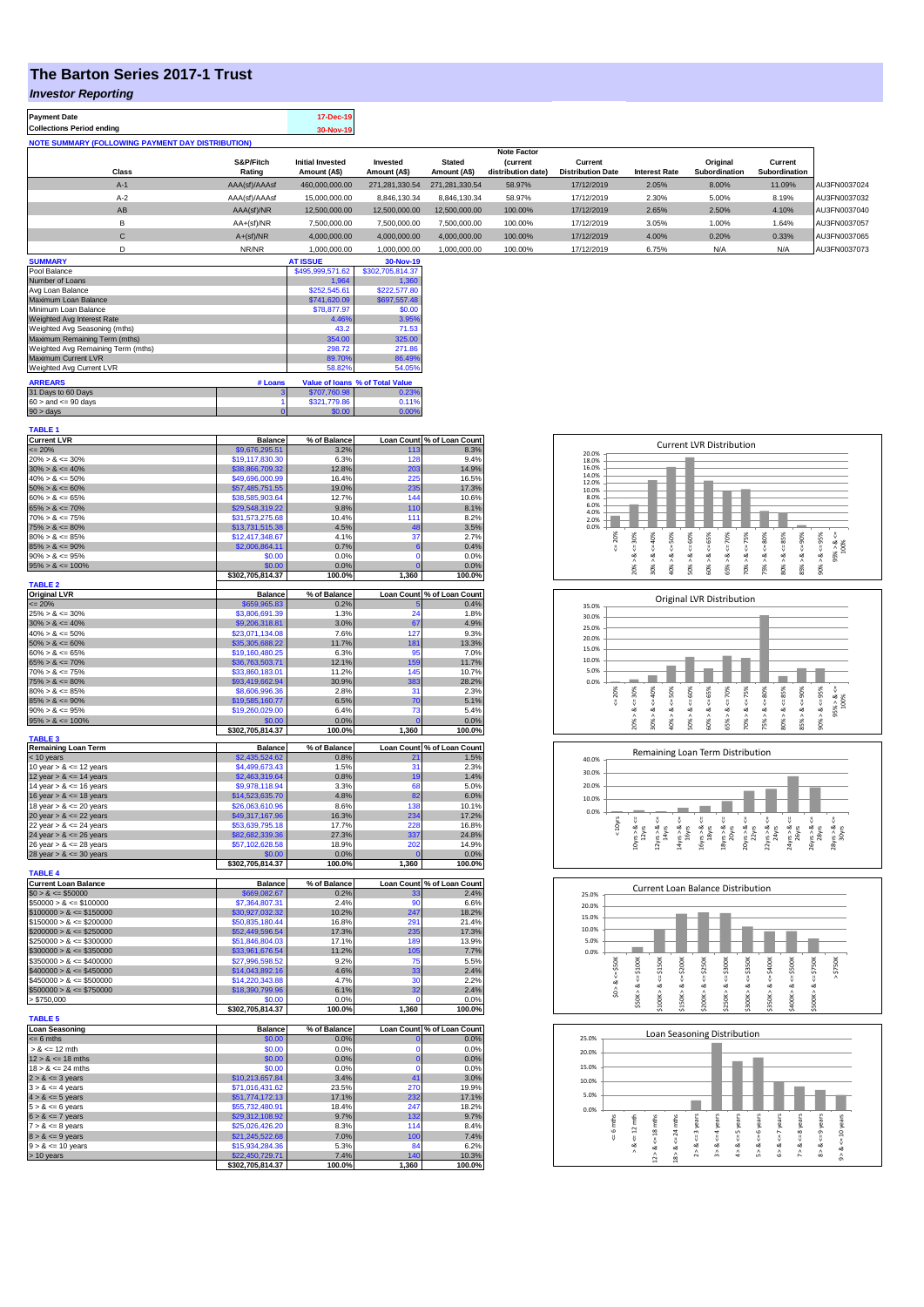## **The Barton Series 2017-1 Trust**

## *Investor Reporting*

| <b>Payment Date</b>                                      | 17-Dec-19 |
|----------------------------------------------------------|-----------|
| <b>Collections Period ending</b>                         | 30-Nov-19 |
| <b>NOTE SUMMARY (FOLLOWING PAYMENT DAY DISTRIBUTION)</b> |           |
|                                                          |           |

|              |               |                         |                |                | <b>Note Factor</b> |                          |                      |                      |               |              |
|--------------|---------------|-------------------------|----------------|----------------|--------------------|--------------------------|----------------------|----------------------|---------------|--------------|
|              | S&P/Fitch     | <b>Initial Invested</b> | Invested       | <b>Stated</b>  | <b>(current</b>    | Current                  |                      | Original             | Current       |              |
| <b>Class</b> | Rating        | Amount (A\$)            | Amount (A\$)   | Amount (A\$)   | distribution date) | <b>Distribution Date</b> | <b>Interest Rate</b> | <b>Subordination</b> | Subordination |              |
| $A-1$        | AAA(sf)/AAAsf | 460.000.000.00          | 271.281.330.54 | 271.281.330.54 | 58.97%             | 17/12/2019               | 2.05%                | 8.00%                | 11.09%        | AU3FN0037024 |
| $A-2$        | AAA(sf)/AAAsf | 15.000.000.00           | 8.846.130.34   | 8.846.130.34   | 58.97%             | 17/12/2019               | 2.30%                | 5.00%                | 8.19%         | AU3FN0037032 |
| AB           | AAA(sf)/NR    | 12.500.000.00           | 12.500.000.00  | 12.500.000.00  | 100.00%            | 17/12/2019               | 2.65%                | 2.50%                | 4.10%         | AU3FN0037040 |
|              | $AA+(sf)/NR$  | 7.500.000.00            | 7.500.000.00   | 7.500.000.00   | 100.00%            | 17/12/2019               | 3.05%                | 1.00%                | 1.64%         | AU3FN0037057 |
| $\mathsf{C}$ | $A+(sf)/NR$   | 4.000.000.00            | 4.000.000.00   | 4.000.000.00   | 100.00%            | 17/12/2019               | 4.00%                | 0.20%                | 0.33%         | AU3FN0037065 |
|              | NR/NR         | 1.000.000.00            | 1.000.000.00   | 1,000,000.00   | 100.00%            | 17/12/2019               | 6.75%                | N/A                  | N/A           | AU3FN0037073 |
| ------------ |               | -----------             |                |                |                    |                          |                      |                      |               |              |

| <b>SUMMARY</b>                     |          | <b>AT ISSUE</b>  | 30-Nov-19                       |
|------------------------------------|----------|------------------|---------------------------------|
| Pool Balance                       |          | \$495,999,571.62 | \$302,705,814.37                |
| Number of Loans                    |          | 1.964            | 1.360                           |
| Avg Loan Balance                   |          | \$252,545.61     | \$222,577.80                    |
| Maximum Loan Balance               |          | \$741,620.09     | \$697,557.48                    |
| Minimum Loan Balance               |          | \$78,877.97      | \$0.00                          |
| Weighted Avg Interest Rate         |          | 4.46%            | 3.95%                           |
| Weighted Avg Seasoning (mths)      |          | 43.2             | 71.53                           |
| Maximum Remaining Term (mths)      |          | 354.00           | 325.00                          |
| Weighted Avg Remaining Term (mths) |          | 298.72           | 271.86                          |
| Maximum Current LVR                |          | 89.70%           | 86.49%                          |
| Weighted Avg Current LVR           |          | 58.82%           | 54.05%                          |
| <b>ARREARS</b>                     | # Loans  |                  | Value of Ioans % of Total Value |
| 31 Days to 60 Days                 | з        | \$707.760.98     | 0.23%                           |
| $60 >$ and $\leq 90$ days          |          | \$321,779.86     | 0.11%                           |
| $90 > \text{days}$                 | $\bf{0}$ | \$0.00           | 0.00%                           |

| <b>TABLE 1</b>                                           |                                    |                      |                            |                                    |
|----------------------------------------------------------|------------------------------------|----------------------|----------------------------|------------------------------------|
| <b>Current LVR</b><br>$= 20%$                            | <b>Balance</b><br>\$9,676,295.51   | % of Balance<br>3.2% | 113                        | Loan Count % of Loan Count<br>8.3% |
| $20\% > 8 \le 30\%$                                      | \$19,117,830.30                    | 6.3%                 | 128                        | 9.4%                               |
| $30\% > 8 \le 40\%$                                      | \$38,866,709.32                    | 12.8%                | 203                        | 14.9%                              |
| $40\% > 8 \le 50\%$                                      | \$49,696,000.99                    | 16.4%                | 225                        | 16.5%                              |
| $50\% > 8 \le 60\%$                                      | \$57,485,751.55                    | 19.0%                | 235                        | 17.3%                              |
| $60\% > 8 \le 65\%$                                      | \$38,585,903.64                    | 12.7%                | 144                        | 10.6%                              |
| $65\% > 8 \le 70\%$                                      | \$29,548,319.22                    | 9.8%                 | 110                        | 8.1%                               |
| $70\% > 8 \le 75\%$<br>$75\% > 8 \le 80\%$               | \$31,573,275.68<br>\$13,731,515.38 | 10.4%<br>4.5%        | 111<br>48                  | 8.2%<br>3.5%                       |
| $80\% > 8 \le 85\%$                                      | \$12,417,348.67                    | 4.1%                 | 37                         | 2.7%                               |
| $85\% > 8 \le 90\%$                                      | \$2,006,864.11                     | 0.7%                 | 6                          | 0.4%                               |
| $90\% > 8 \le 95\%$                                      | \$0.00                             | 0.0%                 | $\Omega$                   | 0.0%                               |
| $95\% > 8 \le 100\%$                                     | \$0.00                             | 0.0%                 | $\bf{0}$                   | 0.0%                               |
|                                                          | \$302,705,814.37                   | 100.0%               | 1,360                      | 100.0%                             |
| <b>TABLE 2</b><br><b>Original LVR</b>                    | Balance                            | % of Balance         | <b>Loan Count</b>          | % of Loan Count                    |
| $= 20%$                                                  | \$659,965.83                       | 0.2%                 |                            | 0.4%                               |
| $25\% > 8 \le 30\%$                                      | \$3,806,691.39                     | 1.3%                 | 24                         | 1.8%                               |
| $30\% > 8 \le 40\%$                                      | \$9,206,318.81                     | 3.0%                 | 67                         | 4.9%                               |
| $40\% > 8 \le 50\%$                                      | \$23,071,134.08                    | 7.6%                 | 127                        | 9.3%                               |
| $50\% > 8 \le 60\%$                                      | \$35,305,688.22                    | 11.7%                | 181                        | 13.3%                              |
| $60\% > 8 \le 65\%$                                      | \$19,160,480.25                    | 6.3%                 | 95                         | 7.0%                               |
| $65\% > 8 \le 70\%$<br>$70\% > 8 \le 75\%$               | \$36,763,503.71<br>\$33,860,183.01 | 12.1%<br>11.2%       | 159<br>145                 | 11.7%<br>10.7%                     |
| $75\% > 8 \le 80\%$                                      | \$93,419,662.94                    | 30.9%                | 383                        | 28.2%                              |
| $80\% > 8 \le 85\%$                                      | \$8,606,996.36                     | 2.8%                 | 31                         | 2.3%                               |
| $85\% > 8 \le 90\%$                                      | \$19,585,160.77                    | 6.5%                 | 70                         | 5.1%                               |
| $90\% > 8 \le 95\%$                                      | \$19,260,029.00                    | 6.4%                 | 73                         | 5.4%                               |
| $95\% > 8 \le 100\%$                                     | \$0.00                             | 0.0%                 |                            | 0.0%                               |
| <b>TABLE 3</b>                                           | \$302,705,814.37                   | 100.0%               | 1,360                      | 100.0%                             |
| <b>Remaining Loan Term</b>                               | <b>Balance</b>                     | % of Balance         |                            | Loan Count % of Loan Count         |
| < 10 years                                               | \$2,435,524.62                     | 0.8%                 | 21                         | 1.5%                               |
| 10 year $> 8 \le 12$ years                               | \$4,499,673.43                     | 1.5%                 | 31                         | 2.3%                               |
| 12 year $> 8 \le 14$ years                               | \$2,463,319.64<br>\$9,978,118.94   | 0.8%<br>3.3%         | 19<br>68                   | 1.4%<br>5.0%                       |
| 14 year $> 8 \le 16$ years<br>16 year $> 8 \le 18$ years | \$14,523,635.70                    | 4.8%                 | 82                         | 6.0%                               |
| 18 year $> 8 \le 20$ years                               | \$26,063,610.96                    | 8.6%                 | 138                        | 10.1%                              |
| 20 year $> 8 < 22$ years                                 | \$49,317,167.96                    | 16.3%                | 234                        | 17.2%                              |
| 22 year $> 8 \le 24$ years                               | \$53,639,795.18                    | 17.7%                | 228                        | 16.8%                              |
| 24 year $> 8 \le 26$ years                               | \$82,682,339.36                    | 27.3%                | 337                        | 24.8%                              |
| 26 year $> 8 \le 28$ years                               | \$57,102,628.58                    | 18.9%                | 202                        | 14.9%                              |
| 28 year $> 8 \le 30$ years                               | \$0.00<br>\$302,705,814.37         | 0.0%<br>100.0%       | $\overline{0}$<br>1,360    | 0.0%<br>100.0%                     |
| <b>TABLE 4</b>                                           |                                    |                      |                            |                                    |
| <b>Current Loan Balance</b>                              | <b>Balance</b>                     | % of Balance         | <b>Loan Count</b>          | % of Loan Count                    |
| $$0 > 8 \le $50000$                                      | \$669,082.67                       | 0.2%                 | 33                         | 2.4%                               |
| $$50000 > 8 \le $100000$                                 | \$7,364,807.31                     | 2.4%                 | 90                         | 6.6%                               |
| $$100000 > 8 \le $150000$                                | \$30,927,032.32<br>\$50,835,180.44 | 10.2%                | 247<br>291                 | 18.2%                              |
| $$150000 > 8 \le $200000$<br>$$200000 > 8 \leq $250000$  | \$52,449,596.54                    | 16.8%<br>17.3%       | 235                        | 21.4%<br>17.3%                     |
| $$250000 > 8 \le $300000$                                | \$51,846,804.03                    | 17.1%                | 180                        | 13.9%                              |
| $$300000 > 8 \le $350000$                                | \$33,961,676.54                    | 11.2%                | 105                        | 7.7%                               |
| $$350000 > 8 \le $400000$                                | \$27,996,598.52                    | 9.2%                 | 75                         | 5.5%                               |
| $$400000 > 8 \le $450000$                                | \$14,043,892.16                    | 4.6%                 | 33                         | 2.4%                               |
| $$450000 > 8 \le $500000$                                | \$14,220,343.88                    | 4.7%                 | 30                         | 2.2%                               |
| $$500000 > 8 \le $750000$                                | \$18,390,799.96                    | 6.1%                 | 32<br>O                    | 2.4%                               |
| > \$750,000                                              | \$0.00<br>\$302,705,814.37         | 0.0%<br>100.0%       | 1,360                      | 0.0%<br>100.0%                     |
| <b>TABLE 5</b>                                           |                                    |                      |                            |                                    |
| <b>Loan Seasoning</b>                                    | <b>Balance</b>                     | % of Balance         |                            | Loan Count % of Loan Count         |
| $= 6$ mths                                               | \$0.00                             | 0.0%                 | $\mathbf 0$<br>$\mathbf 0$ | 0.0%                               |
| $> 8 \le 12$ mth                                         | \$0.00                             | 0.0%                 |                            | 0.0%                               |
| $12 > 8 \le 18$ mths<br>$18 > 8 \le 24$ mths             | \$0.00<br>\$0.00                   | 0.0%<br>0.0%         | $\mathbf{0}$<br>$\Omega$   | 0.0%<br>0.0%                       |
| $2 > 8 \le 3$ years                                      | \$10,213,657.84                    | 3.4%                 | 41                         | 3.0%                               |
| $3 > 8 \le 4$ years                                      | \$71,016,431.62                    | 23.5%                | 270                        | 19.9%                              |
| $4 > 8 \le 5$ years                                      | \$51,774,172.13                    | 17.1%                | 232                        | 17.1%                              |
| $5 > 8 \le 6$ years                                      | \$55,732,480.91                    | 18.4%                | 247                        | 18.2%                              |
| $6 > 8 \le 7$ years                                      | \$29,312,108.92                    | 9.7%                 | 132                        | 9.7%                               |
| $7 > 8 \le 8$ years                                      | \$25,026,426.20                    | 8.3%                 | 114                        | 8.4%                               |
| $8 > 8 \le 9$ years<br>$9 > 8 \le 10$ years              | \$21,245,522.68<br>\$15,934,284.36 | 7.0%<br>5.3%         | 100<br>84                  | 7.4%<br>6.2%                       |
| > 10 years                                               | \$22,450,729.71                    | 7.4%                 | 140                        | 10.3%                              |
|                                                          | \$302,705,814.37                   | 100.0%               | 1,360                      | 100.0%                             |
|                                                          |                                    |                      |                            |                                    |

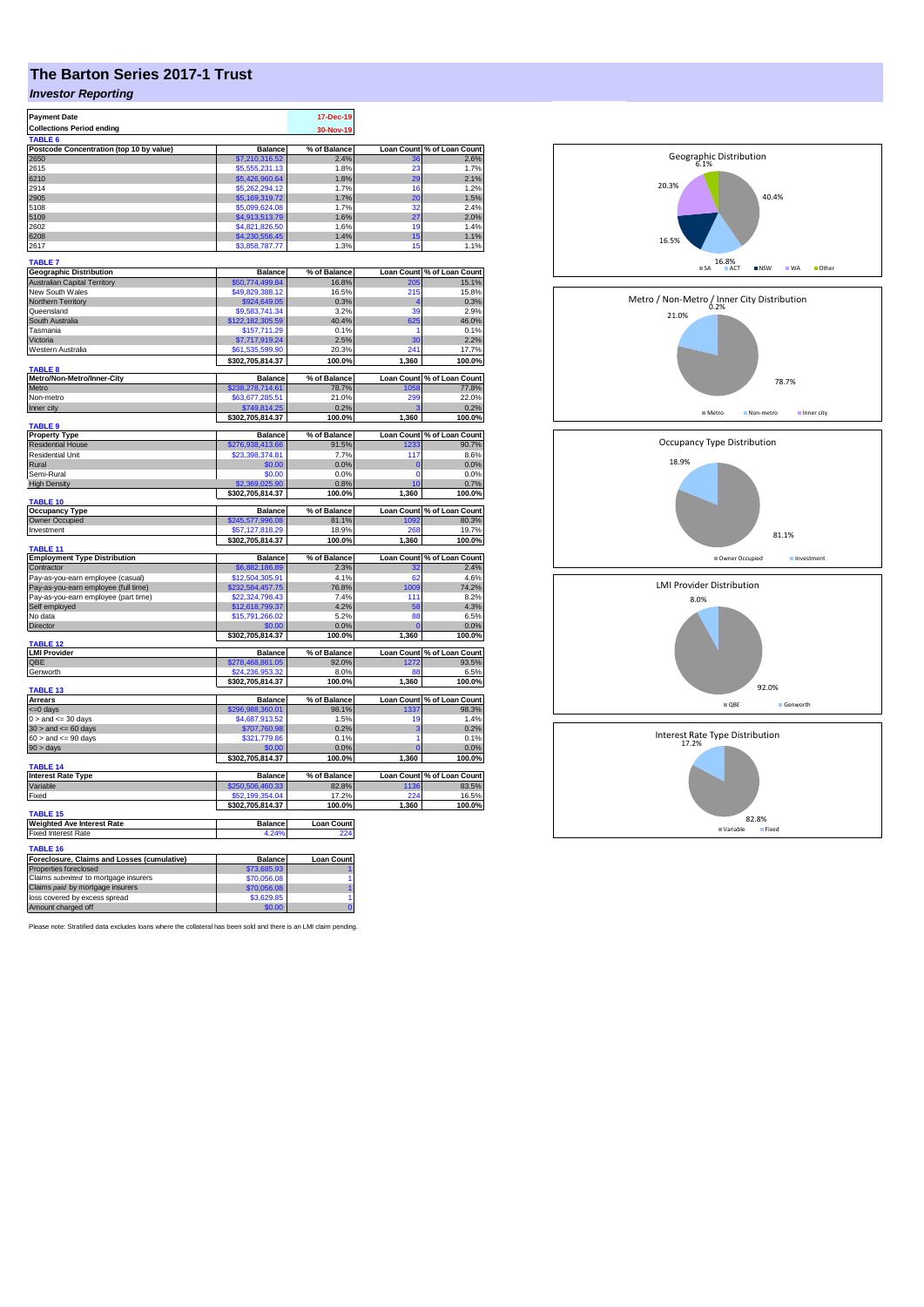## **The Barton Series 2017-1 Trust**

## *Investor Reporting*

| <b>Payment Date</b>                                               |                            | 17-Dec-19         |                   |                                                                                                                                                                                                                                                                                                                 |
|-------------------------------------------------------------------|----------------------------|-------------------|-------------------|-----------------------------------------------------------------------------------------------------------------------------------------------------------------------------------------------------------------------------------------------------------------------------------------------------------------|
| <b>Collections Period ending</b>                                  |                            | 30-Nov-19         |                   |                                                                                                                                                                                                                                                                                                                 |
| TABLE <sub>6</sub>                                                |                            |                   |                   |                                                                                                                                                                                                                                                                                                                 |
| Postcode Concentration (top 10 by value)                          | <b>Balance</b>             | % of Balance      | <b>Loan Count</b> | % of Loan Count                                                                                                                                                                                                                                                                                                 |
| 2650                                                              | \$7,210,316.52             | 2.4%              |                   | 2.6%                                                                                                                                                                                                                                                                                                            |
| 2615                                                              | \$5,555,231.13             | 1.8%              | 23                | 1.7%                                                                                                                                                                                                                                                                                                            |
| 6210                                                              | \$5,426,960.64             | 1.8%              | 29                | 2.1%                                                                                                                                                                                                                                                                                                            |
| 2914                                                              | \$5,262,294.12             | 1.7%              | 16                | 1.2%                                                                                                                                                                                                                                                                                                            |
| 2905                                                              | \$5,169,319.72             | 1.7%              | 20                | 1.5%                                                                                                                                                                                                                                                                                                            |
| 5108                                                              | \$5,099,624.08             | 1.7%              | 32                | 2.4%                                                                                                                                                                                                                                                                                                            |
| 5109                                                              | \$4,913,513.79             | 1.6%              | 27                | 2.0%                                                                                                                                                                                                                                                                                                            |
| 2602                                                              | \$4,821,826.50             | 1.6%              | 19                | 1.4%                                                                                                                                                                                                                                                                                                            |
| 6208                                                              | \$4,230,556.45             | 1.4%              | 15                | 1.1%                                                                                                                                                                                                                                                                                                            |
| 2617                                                              | \$3,858,787.77             | 1.3%              | 15                | 1.1%                                                                                                                                                                                                                                                                                                            |
|                                                                   |                            |                   |                   |                                                                                                                                                                                                                                                                                                                 |
| <b>TABLE 7</b>                                                    |                            |                   |                   |                                                                                                                                                                                                                                                                                                                 |
| <b>Geographic Distribution</b>                                    | Balance                    | % of Balance      | <b>Loan Count</b> | % of Loan Count                                                                                                                                                                                                                                                                                                 |
| <b>Australian Capital Territory</b>                               | \$50,774,499.84            | 16.8%             | 205               | 15.1%                                                                                                                                                                                                                                                                                                           |
| New South Wales                                                   | \$49,829,388.12            | 16.5%             | 215               | 15.8%                                                                                                                                                                                                                                                                                                           |
| Northern Territory                                                | \$924,649.05               | 0.3%              |                   | 0.3%                                                                                                                                                                                                                                                                                                            |
| Queensland                                                        | \$9,583,741.34             | 3.2%              | 39                | 2.9%                                                                                                                                                                                                                                                                                                            |
| South Australia                                                   | \$122,182,305.59           | 40.4%             | 625               | 46.0%                                                                                                                                                                                                                                                                                                           |
| Tasmania                                                          | \$157,711.29               | 0.1%              | 1                 | 0.1%                                                                                                                                                                                                                                                                                                            |
| Victoria                                                          | \$7,717,919.24             | 2.5%              | 30                | 2.2%                                                                                                                                                                                                                                                                                                            |
| Western Australia                                                 | \$61,535,599.90            | 20.3%             | 241               | 17.7%                                                                                                                                                                                                                                                                                                           |
|                                                                   | \$302,705,814.37           | 100.0%            | 1,360             | 100.0%                                                                                                                                                                                                                                                                                                          |
| <b>TABLE 8</b>                                                    |                            |                   |                   |                                                                                                                                                                                                                                                                                                                 |
| Metro/Non-Metro/Inner-City                                        | <b>Balance</b>             | % of Balance      | <b>Loan Count</b> | % of Loan Count                                                                                                                                                                                                                                                                                                 |
| Metro                                                             | \$238,278,714.61           | 78.7%             | 1058              | 77.8%                                                                                                                                                                                                                                                                                                           |
| Non-metro                                                         | \$63,677,285.51            | 21.0%             | 299               | 22.0%                                                                                                                                                                                                                                                                                                           |
| Inner city                                                        | \$749,814.25               | 0.2%              |                   | 0.2%                                                                                                                                                                                                                                                                                                            |
|                                                                   | \$302,705,814.37           | 100.0%            | 1,360             | 100.0%                                                                                                                                                                                                                                                                                                          |
| <b>TABLE 9</b>                                                    |                            |                   |                   |                                                                                                                                                                                                                                                                                                                 |
| <b>Property Type</b>                                              | <b>Balance</b>             | % of Balance      | <b>Loan Count</b> | % of Loan Count<br>90.7%                                                                                                                                                                                                                                                                                        |
| <b>Residential House</b>                                          | 276,938,413.66             | 91.5%             | 1233              |                                                                                                                                                                                                                                                                                                                 |
| <b>Residential Unit</b>                                           | \$23,398,374.81            | 7.7%              | 117               | 8.6%                                                                                                                                                                                                                                                                                                            |
| Rural                                                             | \$0.00                     | 0.0%              | $\mathbf 0$       | 0.0%                                                                                                                                                                                                                                                                                                            |
| Semi-Rural                                                        | \$0.00                     | 0.0%              | $\mathbf 0$       | 0.0%                                                                                                                                                                                                                                                                                                            |
| <b>High Density</b>                                               | 369.025.90                 | 0.8%              | 10                | 0.7%                                                                                                                                                                                                                                                                                                            |
|                                                                   | \$302,705,814.37           | 100.0%            | 1,360             | 100.0%                                                                                                                                                                                                                                                                                                          |
| <b>TABLE 10</b>                                                   |                            |                   |                   |                                                                                                                                                                                                                                                                                                                 |
|                                                                   |                            |                   |                   |                                                                                                                                                                                                                                                                                                                 |
| <b>Occupancy Type</b>                                             | <b>Balance</b>             | % of Balance      | <b>Loan Count</b> |                                                                                                                                                                                                                                                                                                                 |
| Owner Occupied                                                    | \$245,577,996.08           | 81.1%             | 1092              |                                                                                                                                                                                                                                                                                                                 |
| Investment                                                        | \$57.127.818.29            | 18.9%             |                   |                                                                                                                                                                                                                                                                                                                 |
|                                                                   | \$302,705,814.37           | 100.0%            | 1,360             |                                                                                                                                                                                                                                                                                                                 |
| TABLE 11                                                          |                            |                   |                   |                                                                                                                                                                                                                                                                                                                 |
| <b>Employment Type Distribution</b>                               | <b>Balance</b>             | % of Balance      | <b>Loan Count</b> |                                                                                                                                                                                                                                                                                                                 |
| Contractor                                                        | \$6,882,186.89             | 2.3%              | 32                |                                                                                                                                                                                                                                                                                                                 |
| Pay-as-you-earn employee (casual)                                 | \$12,504,305.91            | 4.1%              | 62                |                                                                                                                                                                                                                                                                                                                 |
| Pay-as-you-earn employee (full time)                              | 232,584,457.75             | 76.8%             | 1009              |                                                                                                                                                                                                                                                                                                                 |
| Pay-as-you-earn employee (part time)                              | \$22,324,798.43            | 7.4%              | 111               |                                                                                                                                                                                                                                                                                                                 |
| Self employed                                                     | \$12,618,799.37            | 4.2%              | 58                |                                                                                                                                                                                                                                                                                                                 |
| No data                                                           | \$15,791,266.02            | 5.2%              | 88                |                                                                                                                                                                                                                                                                                                                 |
| Director                                                          | \$0.00                     | 0.0%              | $\epsilon$        |                                                                                                                                                                                                                                                                                                                 |
|                                                                   | \$302,705,814.37           | 100.0%            | 1,360             |                                                                                                                                                                                                                                                                                                                 |
| <b>TABLE 12</b>                                                   |                            |                   |                   |                                                                                                                                                                                                                                                                                                                 |
| <b>LMI Provider</b>                                               | <b>Balance</b>             | % of Balance      |                   |                                                                                                                                                                                                                                                                                                                 |
| QBE                                                               | \$278,468,861.05           | 92.0%             | 1272              |                                                                                                                                                                                                                                                                                                                 |
| Genworth                                                          | \$24.236.953               | 8.0%              | 88                |                                                                                                                                                                                                                                                                                                                 |
|                                                                   | \$302,705,814.37           | 100.0%            | 1,360             |                                                                                                                                                                                                                                                                                                                 |
| <b>TABLE 13</b>                                                   |                            |                   |                   |                                                                                                                                                                                                                                                                                                                 |
| <b>Arrears</b>                                                    | <b>Balance</b>             | % of Balance      | <b>Loan Count</b> |                                                                                                                                                                                                                                                                                                                 |
| <= 0 days                                                         | \$296,988,360.01           | 98.1%             | 1337              |                                                                                                                                                                                                                                                                                                                 |
| $0 >$ and $\leq 30$ days                                          | \$4,687,913.52             | 1.5%              | 19                |                                                                                                                                                                                                                                                                                                                 |
| $30 >$ and $\leq 60$ days                                         | \$707,760.98               | 0.2%              | 3                 |                                                                                                                                                                                                                                                                                                                 |
| $60 >$ and $\leq 90$ days                                         | \$321,779.86               | 0.1%              | 1                 |                                                                                                                                                                                                                                                                                                                 |
| $90 > \text{days}$                                                |                            | 0.0%              |                   |                                                                                                                                                                                                                                                                                                                 |
|                                                                   | \$302,705,814.37           | 100.0%            | 1.360             |                                                                                                                                                                                                                                                                                                                 |
| <b>TABLE 14</b>                                                   |                            |                   |                   |                                                                                                                                                                                                                                                                                                                 |
| <b>Interest Rate Type</b>                                         | <b>Balance</b>             | % of Balance      | <b>Loan Count</b> |                                                                                                                                                                                                                                                                                                                 |
| Variable                                                          | \$250,506,460.33           | 82.8%             | 1136              |                                                                                                                                                                                                                                                                                                                 |
| Fixed                                                             | \$52,199,354.04            | 17.2%             |                   |                                                                                                                                                                                                                                                                                                                 |
|                                                                   | \$302,705,814.37           | 100.0%            | 1,360             |                                                                                                                                                                                                                                                                                                                 |
| TABLE <sub>15</sub>                                               |                            |                   |                   |                                                                                                                                                                                                                                                                                                                 |
| <b>Weighted Ave Interest Rate</b>                                 | <b>Balance</b>             | <b>Loan Count</b> |                   |                                                                                                                                                                                                                                                                                                                 |
| <b>Fixed Interest Rate</b>                                        | 4.24%                      | 224               |                   |                                                                                                                                                                                                                                                                                                                 |
| <b>TABLE 16</b>                                                   |                            |                   |                   |                                                                                                                                                                                                                                                                                                                 |
| Foreclosure, Claims and Losses (cumulative)                       |                            | <b>Loan Count</b> |                   |                                                                                                                                                                                                                                                                                                                 |
| Properties foreclosed                                             | Balance<br>\$73,685.93     |                   |                   |                                                                                                                                                                                                                                                                                                                 |
| Claims submitted to mortgage insurers                             |                            |                   |                   |                                                                                                                                                                                                                                                                                                                 |
|                                                                   | \$70,056.08<br>\$70,056.08 |                   |                   |                                                                                                                                                                                                                                                                                                                 |
| Claims paid by mortgage insurers<br>loss covered by excess spread | \$3,629.85                 |                   |                   | % of Loan Count<br>80.3%<br>19.7%<br>100.0%<br>% of Loan Count<br>2.4%<br>4.6%<br>74.2%<br>8.2%<br>4.3%<br>6.5%<br>0.0%<br>100.0%<br>Loan Count % of Loan Count<br>93.5%<br>6.5%<br>100.0%<br>% of Loan Count<br>98.3%<br>1.4%<br>0.2%<br>0.1%<br>0.0%<br>100.0%<br>% of Loan Count<br>83.5%<br>16.5%<br>100.0% |

Please note: Stratified data excludes loans where the collateral has been sold and there is an LMI claim pending.